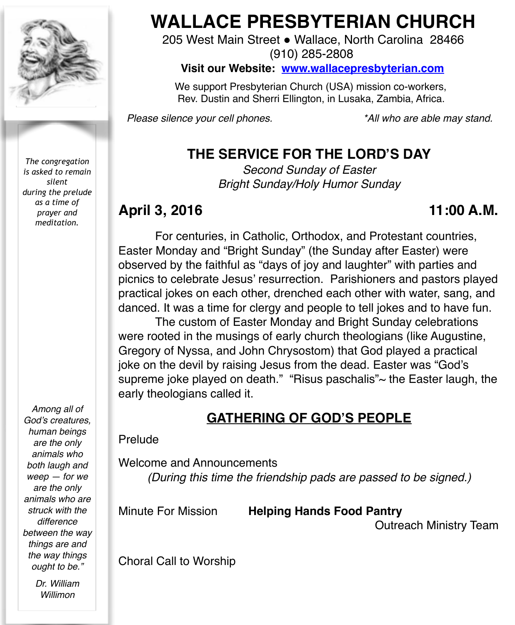

*The congregation is asked to remain silent during the prelude as a time of prayer and meditation.*

*Among all of God's creatures, human beings are the only animals who both laugh and weep — for we are the only animals who are struck with the difference between the way things are and the way things ought to be."*

> *Dr. William Willimon*

# **WALLACE PRESBYTERIAN CHURCH**

205 West Main Street . Wallace, North Carolina 28466 (910) 285-2808

**Visit our Website: [www.wallacepresbyterian.com](http://www.wallacepresbyterian.com)**

 We support Presbyterian Church (USA) mission co-workers, Rev. Dustin and Sherri Ellington, in Lusaka, Zambia, Africa.

*Please silence your cell phones. \*All who are able may stand.*

## **THE SERVICE FOR THE LORD'S DAY**

*Second Sunday of Easter Bright Sunday/Holy Humor Sunday*

## April 3, 2016 **11:00 A.M.**

For centuries, in Catholic, Orthodox, and Protestant countries, Easter Monday and "Bright Sunday" (the Sunday after Easter) were observed by the faithful as "days of joy and laughter" with parties and picnics to celebrate Jesus' resurrection. Parishioners and pastors played practical jokes on each other, drenched each other with water, sang, and danced. It was a time for clergy and people to tell jokes and to have fun.

The custom of Easter Monday and Bright Sunday celebrations were rooted in the musings of early church theologians (like Augustine, Gregory of Nyssa, and John Chrysostom) that God played a practical joke on the devil by raising Jesus from the dead. Easter was "God's supreme joke played on death." "Risus paschalis"~ the Easter laugh, the early theologians called it.

## **GATHERING OF GOD'S PEOPLE**

#### Prelude

Welcome and Announcements *(During this time the friendship pads are passed to be signed.)*

Minute For Mission **Helping Hands Food Pantry**

**!!!!!!** Outreach Ministry Team

Choral Call to Worship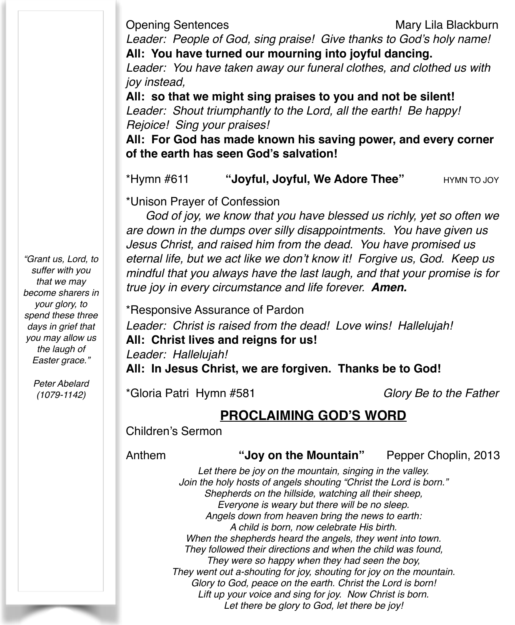Opening Sentences Mary Lila Blackburn

*Leader: People of God, sing praise! Give thanks to God's holy name!* **All: You have turned our mourning into joyful dancing.**

*Leader: You have taken away our funeral clothes, and clothed us with joy instead,*

**All: so that we might sing praises to you and not be silent!** *Leader: Shout triumphantly to the Lord, all the earth! Be happy! Rejoice! Sing your praises!*

**All: For God has made known his saving power, and every corner of the earth has seen God's salvation!**

\*Hymn #611 **"Joyful, Joyful, We Adore Thee"** HYMN TO JOY

\*Unison Prayer of Confession

 *God of joy, we know that you have blessed us richly, yet so often we are down in the dumps over silly disappointments. You have given us Jesus Christ, and raised him from the dead. You have promised us eternal life, but we act like we don't know it! Forgive us, God. Keep us mindful that you always have the last laugh, and that your promise is for true joy in every circumstance and life forever. Amen.*

\*Responsive Assurance of Pardon

*Leader: Christ is raised from the dead! Love wins! Hallelujah!* **All: Christ lives and reigns for us!** *Leader: Hallelujah!*

**All: In Jesus Christ, we are forgiven. Thanks be to God!**

\*Gloria Patri Hymn #581 *Glory Be to the Father*

### **PROCLAIMING GOD'S WORD**

Children's Sermon

#### Anthem **"Joy on the Mountain"** Pepper Choplin, 2013

*Let there be joy on the mountain, singing in the valley. Join the holy hosts of angels shouting "Christ the Lord is born." Shepherds on the hillside, watching all their sheep, Everyone is weary but there will be no sleep. Angels down from heaven bring the news to earth: A child is born, now celebrate His birth. When the shepherds heard the angels, they went into town. They followed their directions and when the child was found, They were so happy when they had seen the boy, They went out a-shouting for joy, shouting for joy on the mountain. Glory to God, peace on the earth. Christ the Lord is born! Lift up your voice and sing for joy. Now Christ is born. Let there be glory to God, let there be joy!*

*"Grant us, Lord, to suffer with you that we may become sharers in your glory, to spend these three days in grief that you may allow us the laugh of Easter grace."*

> *Peter Abelard (1079-1142)*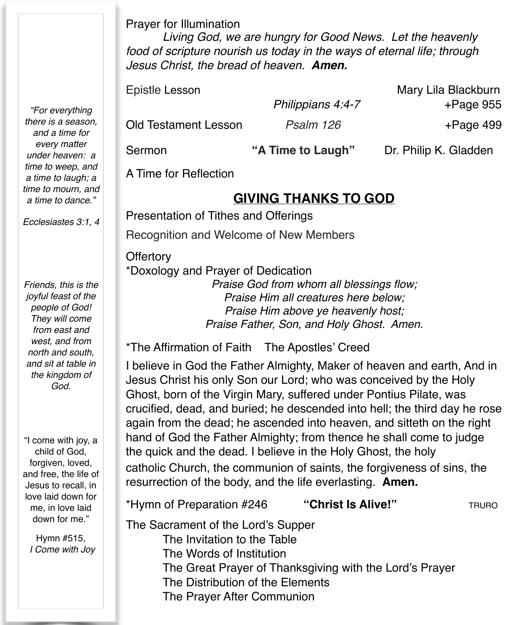Prayer for Illumination

*Living God, we are hungry for Good News. Let the heavenly food of scripture nourish us today in the ways of eternal life; through Jesus Christ, the bread of heaven. Amen.*

| Epistle Lesson              |                   | Mary Lila Blackburn   |
|-----------------------------|-------------------|-----------------------|
|                             | Philippians 4:4-7 | $+$ Page 955          |
| <b>Old Testament Lesson</b> | Psalm 126         | $+$ Page 499          |
| Sermon                      | "A Time to Laugh" | Dr. Philip K. Gladden |

A Time for Reflection

**Offertory** 

## **GIVING THANKS TO GOD**

Presentation of Tithes and Offerings Recognition and Welcome of New Members

\*Doxology and Prayer of Dedication *Praise God from whom all blessings flow; Praise Him all creatures here below; Praise Him above ye heavenly host; Praise Father, Son, and Holy Ghost. Amen.*

\*The Affirmation of Faith The Apostles' Creed

I believe in God the Father Almighty, Maker of heaven and earth, And in Jesus Christ his only Son our Lord; who was conceived by the Holy Ghost, born of the Virgin Mary, suffered under Pontius Pilate, was crucified, dead, and buried; he descended into hell; the third day he rose again from the dead; he ascended into heaven, and sitteth on the right hand of God the Father Almighty; from thence he shall come to judge the quick and the dead. I believe in the Holy Ghost, the holy catholic Church, the communion of saints, the forgiveness of sins, the resurrection of the body, and the life everlasting. **Amen.**

\*Hymn of Preparation #246 **"Christ Is Alive!"** TRURO

The Sacrament of the Lord's Supper

- The Invitation to the Table
	- The Words of Institution
- The Great Prayer of Thanksgiving with the Lord's Prayer
- The Distribution of the Elements
- The Prayer After Communion

*"For everything there is a season, and a time for every matter under heaven: a time to weep, and a time to laugh; a time to mourn, and a time to dance."*

*Ecclesiastes 3:1, 4*

*Friends, this is the joyful feast of the people of God! They will come from east and west, and from north and south, and sit at table in the kingdom of God.*

"I come with joy, a child of God, forgiven, loved, and free, the life of Jesus to recall, in love laid down for me, in love laid down for me."

Hymn #515, *I Come with Joy*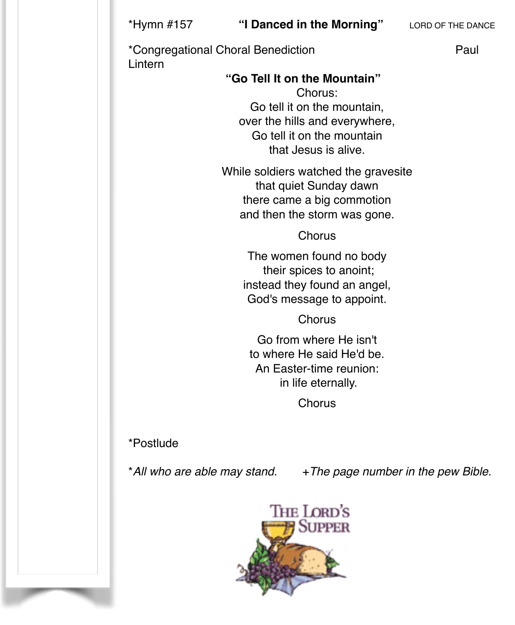\*Congregational Choral Benediction **Paul** Lintern

#### !! ! **"Go Tell It on the Mountain"** ! !

Chorus: Go tell it on the mountain, over the hills and everywhere, Go tell it on the mountain that Jesus is alive.

While soldiers watched the gravesite that quiet Sunday dawn there came a big commotion and then the storm was gone.

**Chorus** 

The women found no body their spices to anoint; instead they found an angel, God's message to appoint.

**Chorus** 

Go from where He isn't to where He said He'd be. An Easter-time reunion: in life eternally.

**Chorus** 

\*Postlude

\*All who are able may stand. +*The page number in the pew Bible.* 

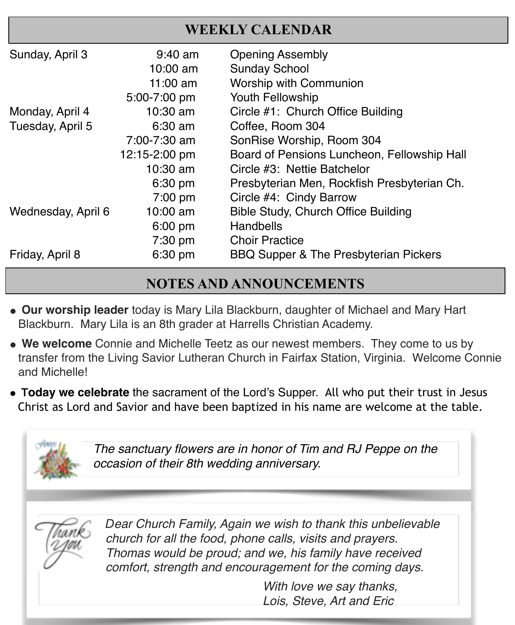## **WEEKLY CALENDAR**

| Sunday, April 3    | $9:40$ am     | <b>Opening Assembly</b>                          |
|--------------------|---------------|--------------------------------------------------|
|                    | 10:00 am      | <b>Sunday School</b>                             |
|                    | $11:00$ am    | <b>Worship with Communion</b>                    |
|                    | 5:00-7:00 pm  | Youth Fellowship                                 |
| Monday, April 4    | 10:30 am      | Circle #1: Church Office Building                |
| Tuesday, April 5   | $6:30$ am     | Coffee, Room 304                                 |
|                    | 7:00-7:30 am  | SonRise Worship, Room 304                        |
|                    | 12:15-2:00 pm | Board of Pensions Luncheon, Fellowship Hall      |
|                    | $10:30$ am    | Circle #3: Nettie Batchelor                      |
|                    | 6:30 pm       | Presbyterian Men, Rockfish Presbyterian Ch.      |
|                    | $7:00$ pm     | Circle #4: Cindy Barrow                          |
| Wednesday, April 6 | 10:00 am      | <b>Bible Study, Church Office Building</b>       |
|                    | 6:00 pm       | <b>Handbells</b>                                 |
|                    | 7:30 pm       | <b>Choir Practice</b>                            |
| Friday, April 8    | 6:30 pm       | <b>BBQ Supper &amp; The Presbyterian Pickers</b> |

## **NOTES AND ANNOUNCEMENTS**

- **" Our worship leader** today is Mary Lila Blackburn, daughter of Michael and Mary Hart Blackburn. Mary Lila is an 8th grader at Harrells Christian Academy.
- **" We welcome** Connie and Michelle Teetz as our newest members. They come to us by transfer from the Living Savior Lutheran Church in Fairfax Station, Virginia. Welcome Connie and Michelle!
- **Today we celebrate** the sacrament of the Lord's Supper. All who put their trust in Jesus Christ as Lord and Savior and have been baptized in his name are welcome at the table.



*The sanctuary flowers are in honor of Tim and RJ Peppe on the occasion of their 8th wedding anniversary.*



*Dear Church Family, Again we wish to thank this unbelievable church for all the food, phone calls, visits and prayers. Thomas would be proud; and we, his family have received comfort, strength and encouragement for the coming days.* 

> With love we say thanks, ! ! ! ! *Lois, Steve, Art and Eric*